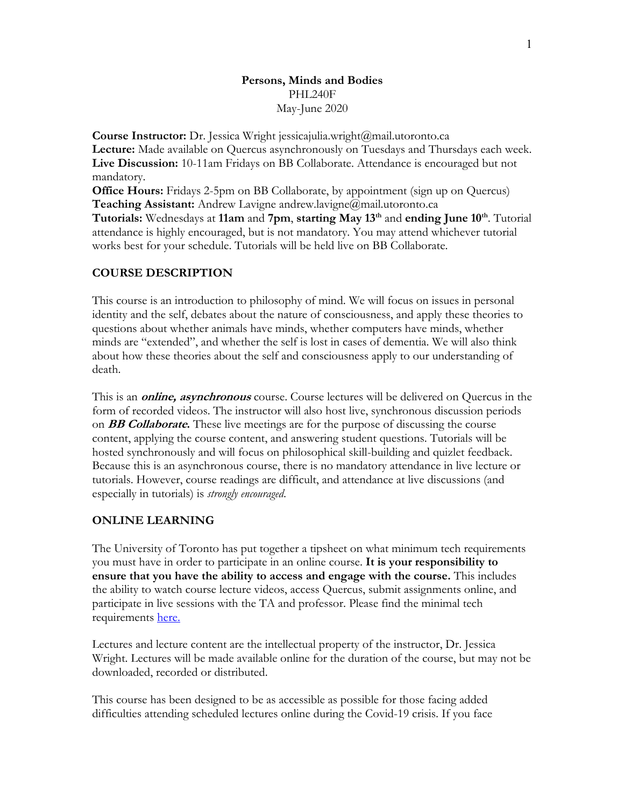## **Persons, Minds and Bodies** PHL240F May-June 2020

**Course Instructor:** Dr. Jessica Wright jessicajulia.wright@mail.utoronto.ca **Lecture:** Made available on Quercus asynchronously on Tuesdays and Thursdays each week. **Live Discussion:** 10-11am Fridays on BB Collaborate. Attendance is encouraged but not mandatory.

**Office Hours:** Fridays 2-5pm on BB Collaborate, by appointment (sign up on Quercus) **Teaching Assistant:** Andrew Lavigne andrew.lavigne@mail.utoronto.ca

**Tutorials:** Wednesdays at **11am** and **7pm**, **starting May 13th** and **ending June 10th**. Tutorial attendance is highly encouraged, but is not mandatory. You may attend whichever tutorial works best for your schedule. Tutorials will be held live on BB Collaborate.

## **COURSE DESCRIPTION**

This course is an introduction to philosophy of mind. We will focus on issues in personal identity and the self, debates about the nature of consciousness, and apply these theories to questions about whether animals have minds, whether computers have minds, whether minds are "extended", and whether the self is lost in cases of dementia. We will also think about how these theories about the self and consciousness apply to our understanding of death.

This is an **online, asynchronous** course. Course lectures will be delivered on Quercus in the form of recorded videos. The instructor will also host live, synchronous discussion periods on **BB Collaborate.** These live meetings are for the purpose of discussing the course content, applying the course content, and answering student questions. Tutorials will be hosted synchronously and will focus on philosophical skill-building and quizlet feedback. Because this is an asynchronous course, there is no mandatory attendance in live lecture or tutorials. However, course readings are difficult, and attendance at live discussions (and especially in tutorials) is *strongly encouraged*.

## **ONLINE LEARNING**

The University of Toronto has put together a tipsheet on what minimum tech requirements you must have in order to participate in an online course. **It is your responsibility to ensure that you have the ability to access and engage with the course.** This includes the ability to watch course lecture videos, access Quercus, submit assignments online, and participate in live sessions with the TA and professor. Please find the minimal tech requirements here.

Lectures and lecture content are the intellectual property of the instructor, Dr. Jessica Wright. Lectures will be made available online for the duration of the course, but may not be downloaded, recorded or distributed.

This course has been designed to be as accessible as possible for those facing added difficulties attending scheduled lectures online during the Covid-19 crisis. If you face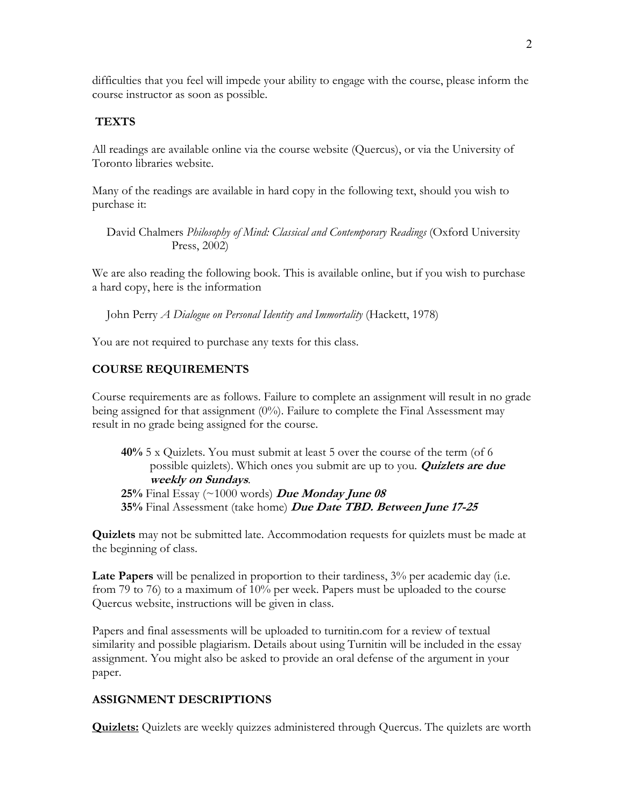difficulties that you feel will impede your ability to engage with the course, please inform the course instructor as soon as possible.

### **TEXTS**

All readings are available online via the course website (Quercus), or via the University of Toronto libraries website.

Many of the readings are available in hard copy in the following text, should you wish to purchase it:

David Chalmers *Philosophy of Mind: Classical and Contemporary Readings* (Oxford University Press, 2002)

We are also reading the following book. This is available online, but if you wish to purchase a hard copy, here is the information

John Perry *A Dialogue on Personal Identity and Immortality* (Hackett, 1978)

You are not required to purchase any texts for this class.

# **COURSE REQUIREMENTS**

Course requirements are as follows. Failure to complete an assignment will result in no grade being assigned for that assignment (0%). Failure to complete the Final Assessment may result in no grade being assigned for the course.

**40%** 5 x Quizlets. You must submit at least 5 over the course of the term (of 6 possible quizlets). Which ones you submit are up to you. **Quizlets are due weekly on Sundays**. **25%** Final Essay (~1000 words) **Due Monday June 08 35%** Final Assessment (take home) **Due Date TBD. Between June 17-25**

**Quizlets** may not be submitted late. Accommodation requests for quizlets must be made at the beginning of class.

**Late Papers** will be penalized in proportion to their tardiness, 3% per academic day (i.e. from 79 to 76) to a maximum of 10% per week. Papers must be uploaded to the course Quercus website, instructions will be given in class.

Papers and final assessments will be uploaded to turnitin.com for a review of textual similarity and possible plagiarism. Details about using Turnitin will be included in the essay assignment. You might also be asked to provide an oral defense of the argument in your paper.

#### **ASSIGNMENT DESCRIPTIONS**

**Quizlets:** Quizlets are weekly quizzes administered through Quercus. The quizlets are worth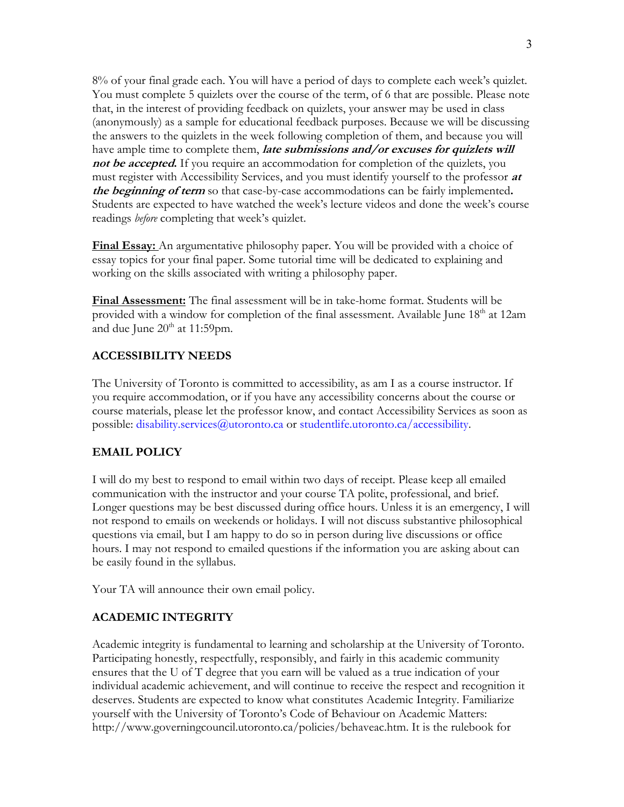8% of your final grade each. You will have a period of days to complete each week's quizlet. You must complete 5 quizlets over the course of the term, of 6 that are possible. Please note that, in the interest of providing feedback on quizlets, your answer may be used in class (anonymously) as a sample for educational feedback purposes. Because we will be discussing the answers to the quizlets in the week following completion of them, and because you will have ample time to complete them, **late submissions and/or excuses for quizlets will not be accepted.** If you require an accommodation for completion of the quizlets, you must register with Accessibility Services, and you must identify yourself to the professor **at the beginning of term** so that case-by-case accommodations can be fairly implemented**.**  Students are expected to have watched the week's lecture videos and done the week's course readings *before* completing that week's quizlet.

**Final Essay:** An argumentative philosophy paper. You will be provided with a choice of essay topics for your final paper. Some tutorial time will be dedicated to explaining and working on the skills associated with writing a philosophy paper.

**Final Assessment:** The final assessment will be in take-home format. Students will be provided with a window for completion of the final assessment. Available June 18<sup>th</sup> at 12am and due June  $20<sup>th</sup>$  at 11:59pm.

### **ACCESSIBILITY NEEDS**

The University of Toronto is committed to accessibility, as am I as a course instructor. If you require accommodation, or if you have any accessibility concerns about the course or course materials, please let the professor know, and contact Accessibility Services as soon as possible: disability.services@utoronto.ca or studentlife.utoronto.ca/accessibility.

### **EMAIL POLICY**

I will do my best to respond to email within two days of receipt. Please keep all emailed communication with the instructor and your course TA polite, professional, and brief. Longer questions may be best discussed during office hours. Unless it is an emergency, I will not respond to emails on weekends or holidays. I will not discuss substantive philosophical questions via email, but I am happy to do so in person during live discussions or office hours. I may not respond to emailed questions if the information you are asking about can be easily found in the syllabus.

Your TA will announce their own email policy.

## **ACADEMIC INTEGRITY**

Academic integrity is fundamental to learning and scholarship at the University of Toronto. Participating honestly, respectfully, responsibly, and fairly in this academic community ensures that the U of T degree that you earn will be valued as a true indication of your individual academic achievement, and will continue to receive the respect and recognition it deserves. Students are expected to know what constitutes Academic Integrity. Familiarize yourself with the University of Toronto's Code of Behaviour on Academic Matters: http://www.governingcouncil.utoronto.ca/policies/behaveac.htm. It is the rulebook for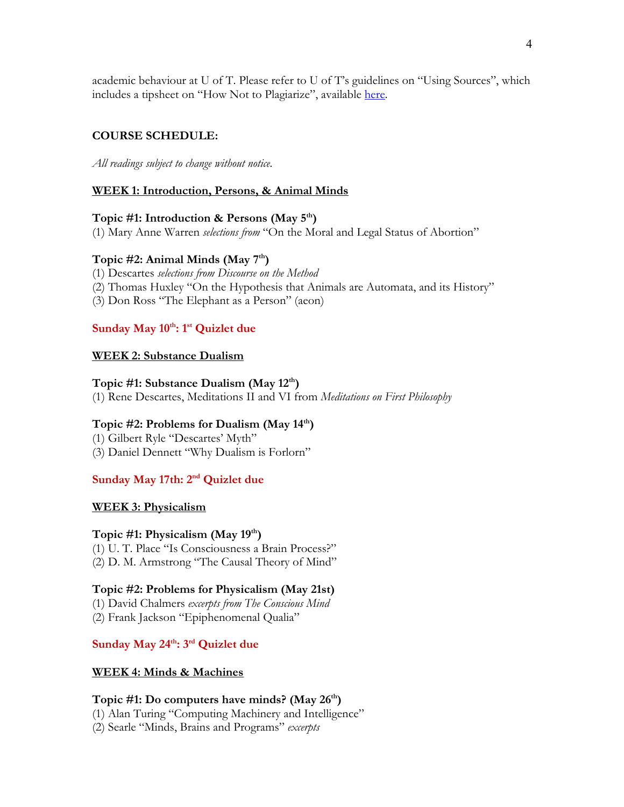academic behaviour at U of T. Please refer to U of T's guidelines on "Using Sources", which includes a tipsheet on "How Not to Plagiarize", available here.

## **COURSE SCHEDULE:**

*All readings subject to change without notice.*

### **WEEK 1: Introduction, Persons, & Animal Minds**

### **Topic #1: Introduction & Persons (May 5th)**

(1) Mary Anne Warren *selections from* "On the Moral and Legal Status of Abortion"

#### **Topic #2: Animal Minds (May 7th)**

(1) Descartes *selections from Discourse on the Method*

- (2) Thomas Huxley "On the Hypothesis that Animals are Automata, and its History"
- (3) Don Ross "The Elephant as a Person" (aeon)

# Sunday May 10<sup>th</sup>: 1<sup>st</sup> Quizlet due

### **WEEK 2: Substance Dualism**

#### **Topic #1: Substance Dualism (May 12th)**

(1) Rene Descartes, Meditations II and VI from *Meditations on First Philosophy*

#### **Topic #2: Problems for Dualism (May 14th)**

(1) Gilbert Ryle "Descartes' Myth" (3) Daniel Dennett "Why Dualism is Forlorn"

### **Sunday May 17th: 2nd Quizlet due**

#### **WEEK 3: Physicalism**

#### **Topic #1: Physicalism (May 19th)**

(1) U. T. Place "Is Consciousness a Brain Process?" (2) D. M. Armstrong "The Causal Theory of Mind"

#### **Topic #2: Problems for Physicalism (May 21st)**

(1) David Chalmers *excerpts from The Conscious Mind*

(2) Frank Jackson "Epiphenomenal Qualia"

## Sunday May 24<sup>th</sup>: 3<sup>rd</sup> Quizlet due

#### **WEEK 4: Minds & Machines**

#### **Topic #1: Do computers have minds? (May 26th)**

(1) Alan Turing "Computing Machinery and Intelligence"

(2) Searle "Minds, Brains and Programs" *excerpts*